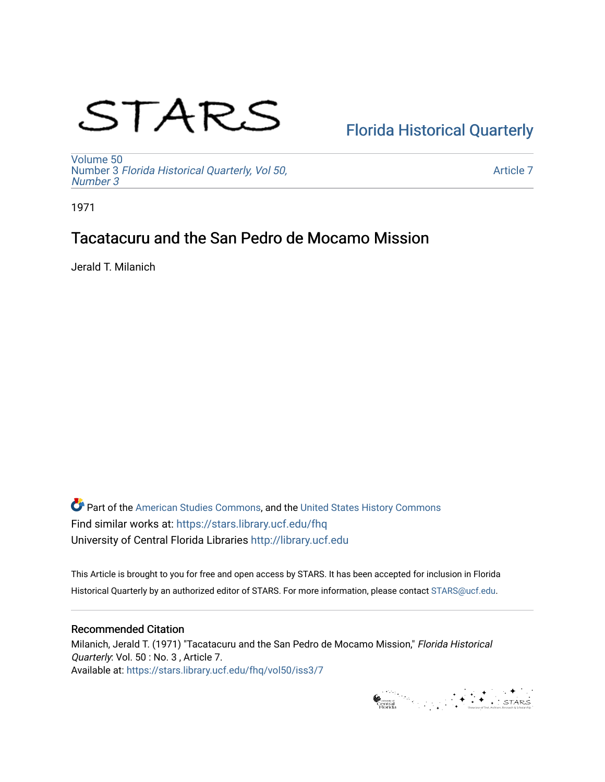# STARS

# [Florida Historical Quarterly](https://stars.library.ucf.edu/fhq)

[Volume 50](https://stars.library.ucf.edu/fhq/vol50) Number 3 [Florida Historical Quarterly, Vol 50,](https://stars.library.ucf.edu/fhq/vol50/iss3)  [Number 3](https://stars.library.ucf.edu/fhq/vol50/iss3)

[Article 7](https://stars.library.ucf.edu/fhq/vol50/iss3/7) 

1971

## Tacatacuru and the San Pedro de Mocamo Mission

Jerald T. Milanich

**C** Part of the [American Studies Commons](http://network.bepress.com/hgg/discipline/439?utm_source=stars.library.ucf.edu%2Ffhq%2Fvol50%2Fiss3%2F7&utm_medium=PDF&utm_campaign=PDFCoverPages), and the United States History Commons Find similar works at: <https://stars.library.ucf.edu/fhq> University of Central Florida Libraries [http://library.ucf.edu](http://library.ucf.edu/) 

This Article is brought to you for free and open access by STARS. It has been accepted for inclusion in Florida Historical Quarterly by an authorized editor of STARS. For more information, please contact [STARS@ucf.edu.](mailto:STARS@ucf.edu)

## Recommended Citation

Milanich, Jerald T. (1971) "Tacatacuru and the San Pedro de Mocamo Mission," Florida Historical Quarterly: Vol. 50 : No. 3 , Article 7. Available at: [https://stars.library.ucf.edu/fhq/vol50/iss3/7](https://stars.library.ucf.edu/fhq/vol50/iss3/7?utm_source=stars.library.ucf.edu%2Ffhq%2Fvol50%2Fiss3%2F7&utm_medium=PDF&utm_campaign=PDFCoverPages) 

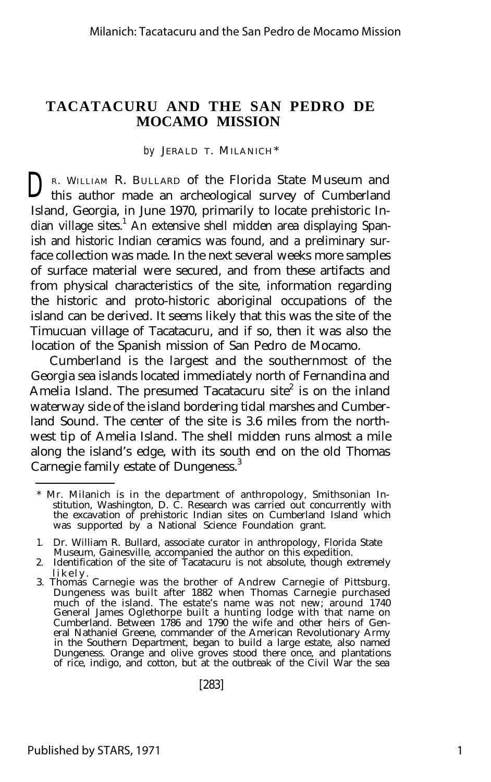### **TACATACURU AND THE SAN PEDRO DE MOCAMO MISSION**

#### *by* JERALD T. MILANICH\*

R. WILLIAM R. BULLARD of the Florida State Museum and this author made an archeological survey of Cumberland Island, Georgia, in June 1970, primarily to locate prehistoric Indian village sites.<sup>1</sup> An extensive shell midden area displaying Spanish and historic Indian ceramics was found, and a preliminary surface collection was made. In the next several weeks more samples of surface material were secured, and from these artifacts and from physical characteristics of the site, information regarding the historic and proto-historic aboriginal occupations of the island can be derived. It seems likely that this was the site of the Timucuan village of Tacatacuru, and if so, then it was also the location of the Spanish mission of San Pedro de Mocamo.

Cumberland is the largest and the southernmost of the Georgia sea islands located immediately north of Fernandina and Amelia Island. The presumed Tacatacuru site<sup>2</sup> is on the inland waterway side of the island bordering tidal marshes and Cumberland Sound. The center of the site is 3.6 miles from the northwest tip of Amelia Island. The shell midden runs almost a mile along the island's edge, with its south end on the old Thomas Carnegie family estate of Dungeness.<sup>3</sup>

<sup>\*</sup> Mr. Milanich is in the department of anthropology, Smithsonian Institution, Washington, D. C. Research was carried out concurrently with the excavation of prehistoric Indian sites on Cumberland Island which was supported by a National Science Foundation grant.

<sup>1.</sup> Dr. William R. Bullard, associate curator in anthropology, Florida State

Museum, Gainesville, accompanied the author on this expedition. 2. Identification of the site of Tacatacuru is not absolute, though extremely likely .

<sup>3.</sup> Thomas Carnegie was the brother of Andrew Carnegie of Pittsburg. Dungeness was built after 1882 when Thomas Carnegie purchased much of the island. The estate's name was not new; around 1740 General James Oglethorpe built a hunting lodge with that name on Cumberland. Between 1786 and 1790 the wife and other heirs of Gen-eral Nathaniel Greene, commander of the American Revolutionary Army in the Southern Department, began to build a large estate, also named Dungeness. Orange and olive groves stood there once, and plantations of rice, indigo, and cotton, but at the outbreak of the Civil War the sea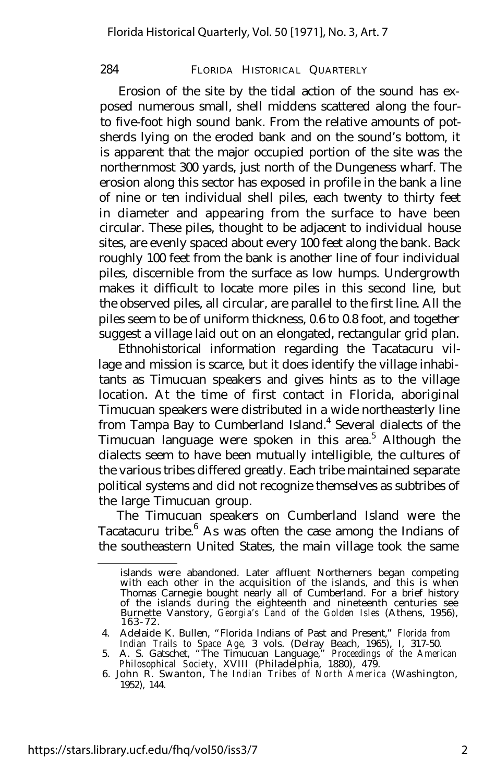#### 284 FLORIDA HISTORICAL QUARTERLY

Erosion of the site by the tidal action of the sound has exposed numerous small, shell middens scattered along the fourto five-foot high sound bank. From the relative amounts of potsherds lying on the eroded bank and on the sound's bottom, it is apparent that the major occupied portion of the site was the northernmost 300 yards, just north of the Dungeness wharf. The erosion along this sector has exposed in profile in the bank a line of nine or ten individual shell piles, each twenty to thirty feet in diameter and appearing from the surface to have been circular. These piles, thought to be adjacent to individual house sites, are evenly spaced about every 100 feet along the bank. Back roughly 100 feet from the bank is another line of four individual piles, discernible from the surface as low humps. Undergrowth makes it difficult to locate more piles in this second line, but the observed piles, all circular, are parallel to the first line. All the piles seem to be of uniform thickness, 0.6 to 0.8 foot, and together suggest a village laid out on an elongated, rectangular grid plan.

Ethnohistorical information regarding the Tacatacuru village and mission is scarce, but it does identify the village inhabitants as Timucuan speakers and gives hints as to the village location. At the time of first contact in Florida, aboriginal Timucuan speakers were distributed in a wide northeasterly line from Tampa Bay to Cumberland Island.<sup>4</sup> Several dialects of the Timucuan language were spoken in this area.<sup>5</sup> Although the dialects seem to have been mutually intelligible, the cultures of the various tribes differed greatly. Each tribe maintained separate political systems and did not recognize themselves as subtribes of the large Timucuan group.

The Timucuan speakers on Cumberland Island were the Tacatacuru tribe. $6$  As was often the case among the Indians of the southeastern United States, the main village took the same

islands were abandoned. Later affluent Northerners began competing with each other in the acquisition of the islands, and this is when Thomas Carnegie bought nearly all of Cumberland. For a brief history of the islands during the eighteenth and nineteenth centuries see Burnette Vanstory, *Georgia's Land of the Golden Isles* (Athens, 1956), 163-72 .

<sup>4.</sup> Adelaide K. Bullen, "Florida Indians of Past and Present," *Florida from*

*Indian Trails to Space Age,* 3 vols. (Delray Beach, 1965), I, 317-50. 5. A. S. Gatschet, "The Timucuan Language," *Proceedings of the American*

*Philosophical Society,* XVIII (Philadelphia, 1880), 479. 6. John R. Swanton, *The Indian Tribes of North America* (Washington, 1952), 144.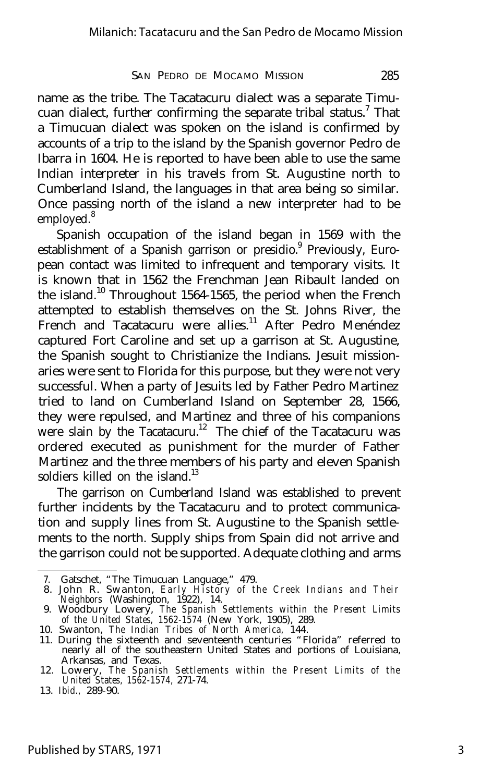#### SAN PEDRO DE MOCAMO MISSION 285

name as the tribe. The Tacatacuru dialect was a separate Timucuan dialect, further confirming the separate tribal status.<sup>7</sup> That a Timucuan dialect was spoken on the island is confirmed by accounts of a trip to the island by the Spanish governor Pedro de Ibarra in 1604. He is reported to have been able to use the same Indian interpreter in his travels from St. Augustine north to Cumberland Island, the languages in that area being so similar. Once passing north of the island a new interpreter had to be employed.<sup>8</sup>

Spanish occupation of the island began in 1569 with the establishment of a Spanish garrison or presidio.<sup>9</sup> Previously, European contact was limited to infrequent and temporary visits. It is known that in 1562 the Frenchman Jean Ribault landed on the island.<sup>10</sup> Throughout 1564-1565, the period when the French attempted to establish themselves on the St. Johns River, the French and Tacatacuru were allies.<sup>11</sup> After Pedro Menéndez captured Fort Caroline and set up a garrison at St. Augustine, the Spanish sought to Christianize the Indians. Jesuit missionaries were sent to Florida for this purpose, but they were not very successful. When a party of Jesuits led by Father Pedro Martinez tried to land on Cumberland Island on September 28, 1566, they were repulsed, and Martinez and three of his companions were slain by the Tacatacuru.<sup>12</sup> The chief of the Tacatacuru was ordered executed as punishment for the murder of Father Martinez and the three members of his party and eleven Spanish soldiers killed on the island.<sup>13</sup>

The garrison on Cumberland Island was established to prevent further incidents by the Tacatacuru and to protect communication and supply lines from St. Augustine to the Spanish settlements to the north. Supply ships from Spain did not arrive and the garrison could not be supported. Adequate clothing and arms

<sup>7.</sup> Gatschet, "The Timucuan Language," 479.

<sup>8.</sup> John R. Swanton, *Early History of the Creek Indians and Their Neighbors* (Washington, 1922), 14. 9. Woodbury Lowery, *The Spanish Settlements within the Present Limits*

*of the United States, 1562-1574* (New York, 1905), 289. 10. Swanton, *The Indian Tribes of North America,* 144.

<sup>11.</sup> During the sixteenth and seventeenth centuries "Florida" referred to nearly all of the southeastern United States and portions of Louisiana, Arkansas, and Texas.

<sup>12.</sup> Lowery, *The Spanish Settlements within the Present Limits of the United States, 1562-1574,* 271-74.

<sup>13.</sup> *Ibid.,* 289-90.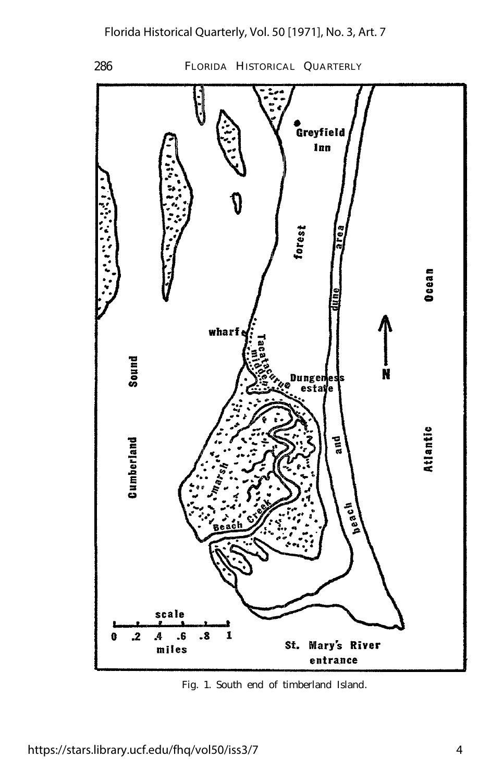

Fig. 1. South end of timberland Island.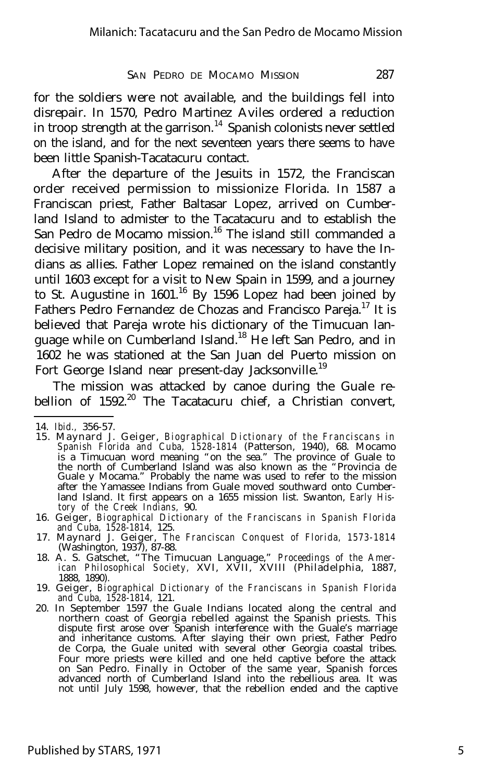for the soldiers were not available, and the buildings fell into disrepair. In 1570, Pedro Martinez Aviles ordered a reduction in troop strength at the garrison.<sup>14</sup> Spanish colonists never settled on the island, and for the next seventeen years there seems to have been little Spanish-Tacatacuru contact.

After the departure of the Jesuits in 1572, the Franciscan order received permission to missionize Florida. In 1587 a Franciscan priest, Father Baltasar Lopez, arrived on Cumberland Island to admister to the Tacatacuru and to establish the San Pedro de Mocamo mission.<sup>16</sup> The island still commanded a decisive military position, and it was necessary to have the Indians as allies. Father Lopez remained on the island constantly until 1603 except for a visit to New Spain in 1599, and a journey to St. Augustine in  $1601$ .<sup>16</sup> By 1596 Lopez had been joined by Fathers Pedro Fernandez de Chozas and Francisco Pareja.<sup>17</sup> It is believed that Pareja wrote his dictionary of the Timucuan language while on Cumberland Island.<sup>18</sup> He left San Pedro, and in 1602 he was stationed at the San Juan del Puerto mission on Fort George Island near present-day Jacksonville.<sup>19</sup>

The mission was attacked by canoe during the Guale rebellion of  $1592<sup>20</sup>$  The Tacatacuru chief, a Christian convert,

<sup>14.</sup> *Ibid.,* 356-57.

<sup>15.</sup> Maynard J. Geiger, *Biographical Dictionary of the Franciscans in Spanish Florida and Cuba, 1528-1814* (Patterson, 1940), 68. Mocamo is a Timucuan word meaning "on the sea." The province of Guale to the north of Cumberland Island was also known as the "Provincia de Guale y Mocama." Probably the name was used to refer to the mission after the Yamassee Indians from Guale moved southward onto Cumberland Island. It first appears on a 1655 mission list. Swanton, *Early History of the Creek Indians,* 90.

<sup>16.</sup> Geiger, *Biographical Dictionary of the Franciscans in Spanish Florida and Cuba, 1528-1814,* 125.

<sup>17.</sup> Maynard J. Geiger, *The Franciscan Conquest of Florida, 1573-1814* (Washington, 1937), 87-88.

<sup>18.</sup> A. S. Gatschet, "The Timucuan Language," *Proceedings of the Amer-ican Philosophical Society,* XVI, XVII, XVIII (Philadelphia, 1887, 1888, 1890).

<sup>19.</sup> Geiger, *Biographical Dictionary of the Franciscans in Spanish Florida and Cuba, 1528-1814,* 121.

<sup>20.</sup> In September 1597 the Guale Indians located along the central and northern coast of Georgia rebelled against the Spanish priests. This dispute first arose over Spanish interference with the Guale's marriage and inheritance customs. After slaying their own priest, Father Pedro de Corpa, the Guale united with several other Georgia coastal tribes. Four more priests were killed and one held captive before the attack on San Pedro. Finally in October of the same year, Spanish forces advanced north of Cumberland Island into the rebellious area. It was not until July 1598, however, that the rebellion ended and the captive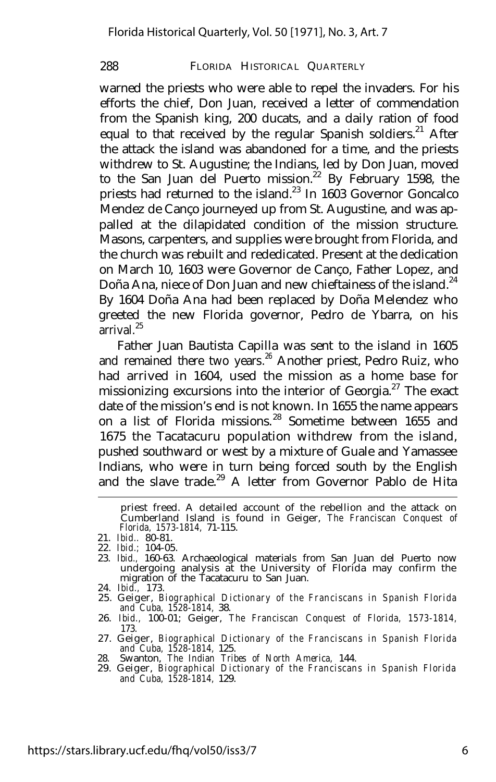#### 288 FLORIDA HISTORICAL QUARTERLY

warned the priests who were able to repel the invaders. For his efforts the chief, Don Juan, received a letter of commendation from the Spanish king, 200 ducats, and a daily ration of food equal to that received by the regular Spanish soldiers.<sup>21</sup> After the attack the island was abandoned for a time, and the priests withdrew to St. Augustine; the Indians, led by Don Juan, moved to the San Juan del Puerto mission.<sup>22</sup> By February 1598, the priests had returned to the island.<sup>23</sup> In 1603 Governor Goncalco Mendez de Canço journeyed up from St. Augustine, and was appalled at the dilapidated condition of the mission structure. Masons, carpenters, and supplies were brought from Florida, and the church was rebuilt and rededicated. Present at the dedication on March 10, 1603 were Governor de Canço, Father Lopez, and Doña Ana, niece of Don Juan and new chieftainess of the island.<sup>24</sup> By 1604 Doña Ana had been replaced by Doña Melendez who greeted the new Florida governor, Pedro de Ybarra, on his  $arrival$ <sup>25</sup>

Father Juan Bautista Capilla was sent to the island in 1605 and remained there two years.<sup>26</sup> Another priest, Pedro Ruiz, who had arrived in 1604, used the mission as a home base for missionizing excursions into the interior of Georgia.<sup>27</sup> The exact date of the mission's end is not known. In 1655 the name appears on a list of Florida missions.<sup>28</sup> Sometime between 1655 and 1675 the Tacatacuru population withdrew from the island, pushed southward or west by a mixture of Guale and Yamassee Indians, who were in turn being forced south by the English and the slave trade.<sup>29</sup> A letter from Governor Pablo de Hita

priest freed. A detailed account of the rebellion and the attack on Cumberland Island is found in Geiger, *The Franciscan Conquest of Florida, 1573-1814,* 71-115.

- 23. *Ibid.,* 160-63. Archaeological materials from San Juan del Puerto now undergoing analysis at the University of Florida may confirm the migration of the Tacatacuru to San Juan.
- 24. *Ibid.,* 173.
- 25. Geiger, *Biographical Dictionary of the Franciscans in Spanish Florida and Cuba, 1528-1814,* 38.
- 26. *Ibid.,* 100-01; Geiger, *The Franciscan Conquest of Florida, 1573-1814,* 173.
- 27. Geiger, *Biographical Dictionary of the Franciscans in Spanish Florida and Cuba, 1528-1814,* 125.
- 28. Swanton, *The Indian Tribes of North America,* 144.
- 29. Geiger, *Biographical Dictionary of the Franciscans in Spanish Florida and Cuba, 1528-1814,* 129.

<sup>21.</sup> *Ibid..* 80-81.

<sup>22.</sup> *Ibid.;* 104-05.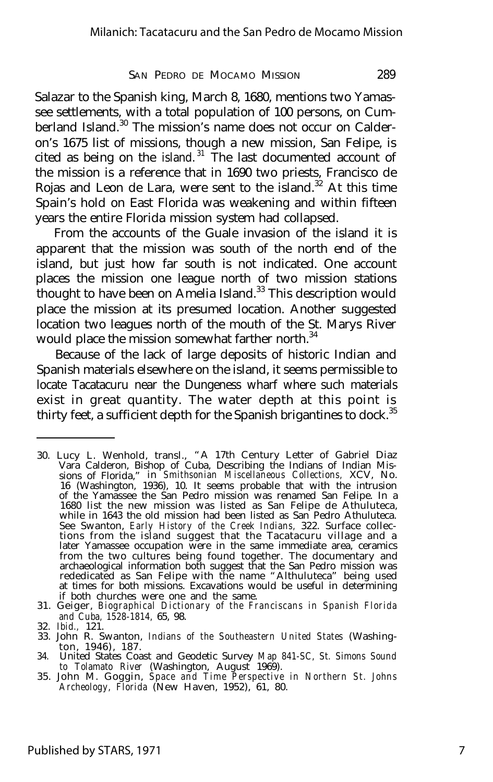#### SAN PEDRO DE MOCAMO MISSION 289

Salazar to the Spanish king, March 8, 1680, mentions two Yamassee settlements, with a total population of 100 persons, on Cumberland Island.<sup>30</sup> The mission's name does not occur on Calderon's 1675 list of missions, though a new mission, San Felipe, is cited as being on the island. $31$  The last documented account of the mission is a reference that in 1690 two priests, Francisco de Rojas and Leon de Lara, were sent to the island.<sup>32</sup> At this time Spain's hold on East Florida was weakening and within fifteen years the entire Florida mission system had collapsed.

From the accounts of the Guale invasion of the island it is apparent that the mission was south of the north end of the island, but just how far south is not indicated. One account places the mission one league north of two mission stations thought to have been on Amelia Island.<sup>33</sup> This description would place the mission at its presumed location. Another suggested location two leagues north of the mouth of the St. Marys River would place the mission somewhat farther north.<sup>34</sup>

Because of the lack of large deposits of historic Indian and Spanish materials elsewhere on the island, it seems permissible to locate Tacatacuru near the Dungeness wharf where such materials exist in great quantity. The water depth at this point is thirty feet, a sufficient depth for the Spanish brigantines to dock.<sup>35</sup>

if both churches were one and the same. 31. Geiger, *Biographical Dictionary of the Franciscans in Spanish Florida and Cuba, 1528-1814,* 65, 98.

<sup>30.</sup> Lucy L. Wenhold, transl., "A 17th Century Letter of Gabriel Diaz Vara Calderon, Bishop of Cuba, Describing the Indians of Indian Missions of Florida," in *Smithsonian Miscellaneous Collections*, XCV, No. 16 (Washington of the Yamassee the San Pedro mission was renamed San Felipe. In a 1680 list the new mission was listed as San Felipe de Athuluteca, while in 1643 the old mission had been listed as San Pedro Athuluteca. See Swanton, *Early History of the Creek Indians,* 322. Surface collections from the island suggest that the Tacatacuru village and a later Yamassee occupation were in the same immediate area, ceramics from the two cultures being found together. The documentary and archaeological information both suggest that the San Pedro mission was rededicated as San Felipe with the name "Althuluteca" being used at times for both missions. Excavations would be useful in determining

<sup>32.</sup> *Ibid.,* 121. 33. John R. Swanton, *Indians of the Southeastern United States* (Washington, 1946), 187.

<sup>34.</sup> United States Coast and Geodetic Survey *Map 841-SC, St. Simons Sound to Tolamato River* (Washington, August 1969). 35. John M. Goggin, *Space and Time Perspective in Northern St. Johns*

*Archeology, Florida* (New Haven, 1952), 61, 80.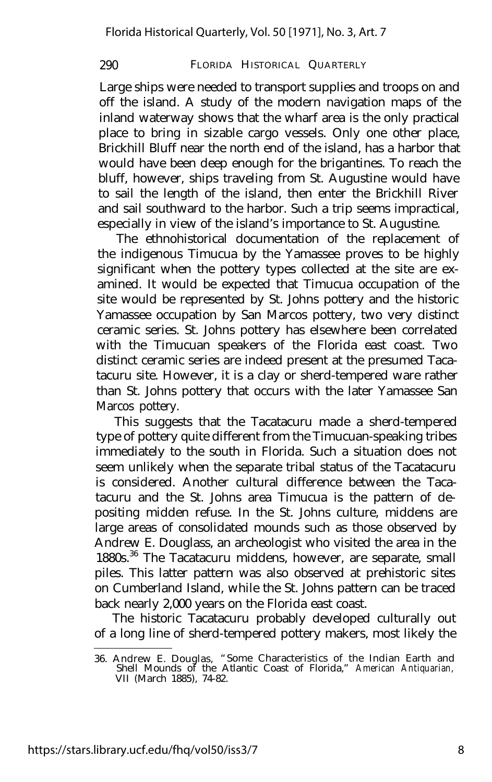#### 290 FLORIDA HISTORICAL QUARTERLY

Large ships were needed to transport supplies and troops on and off the island. A study of the modern navigation maps of the inland waterway shows that the wharf area is the only practical place to bring in sizable cargo vessels. Only one other place, Brickhill Bluff near the north end of the island, has a harbor that would have been deep enough for the brigantines. To reach the bluff, however, ships traveling from St. Augustine would have to sail the length of the island, then enter the Brickhill River and sail southward to the harbor. Such a trip seems impractical, especially in view of the island's importance to St. Augustine.

The ethnohistorical documentation of the replacement of the indigenous Timucua by the Yamassee proves to be highly significant when the pottery types collected at the site are examined. It would be expected that Timucua occupation of the site would be represented by St. Johns pottery and the historic Yamassee occupation by San Marcos pottery, two very distinct ceramic series. St. Johns pottery has elsewhere been correlated with the Timucuan speakers of the Florida east coast. Two distinct ceramic series are indeed present at the presumed Tacatacuru site. However, it is a clay or sherd-tempered ware rather than St. Johns pottery that occurs with the later Yamassee San Marcos pottery.

This suggests that the Tacatacuru made a sherd-tempered type of pottery quite different from the Timucuan-speaking tribes immediately to the south in Florida. Such a situation does not seem unlikely when the separate tribal status of the Tacatacuru is considered. Another cultural difference between the Tacatacuru and the St. Johns area Timucua is the pattern of depositing midden refuse. In the St. Johns culture, middens are large areas of consolidated mounds such as those observed by Andrew E. Douglass, an archeologist who visited the area in the 1880s.<sup>36</sup> The Tacatacuru middens, however, are separate, small piles. This latter pattern was also observed at prehistoric sites on Cumberland Island, while the St. Johns pattern can be traced back nearly 2,000 years on the Florida east coast.

The historic Tacatacuru probably developed culturally out of a long line of sherd-tempered pottery makers, most likely the

<sup>36.</sup> Andrew E. Douglas, "Some Characteristics of the Indian Earth and Shell Mounds of the Atlantic Coast of Florida," *American Antiquarian,* VII (March 1885), 74-82.